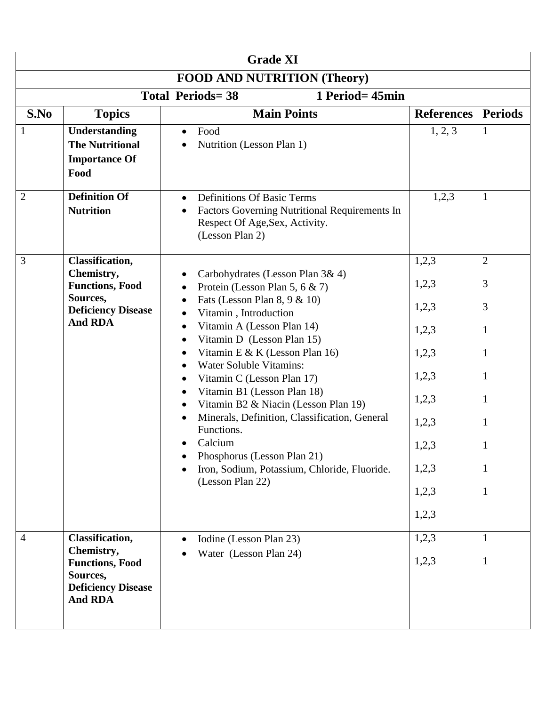| <b>Grade XI</b>                            |                                                                                   |                                                                                                                                                           |                   |                     |  |
|--------------------------------------------|-----------------------------------------------------------------------------------|-----------------------------------------------------------------------------------------------------------------------------------------------------------|-------------------|---------------------|--|
| <b>FOOD AND NUTRITION (Theory)</b>         |                                                                                   |                                                                                                                                                           |                   |                     |  |
| 1 Period= 45min<br><b>Total Periods=38</b> |                                                                                   |                                                                                                                                                           |                   |                     |  |
| S.No                                       | <b>Topics</b>                                                                     | <b>Main Points</b>                                                                                                                                        | <b>References</b> | <b>Periods</b>      |  |
|                                            | Understanding<br><b>The Nutritional</b><br><b>Importance Of</b><br>Food           | Food<br>$\bullet$<br>Nutrition (Lesson Plan 1)                                                                                                            | 1, 2, 3           | $\mathbf{1}$        |  |
| $\overline{2}$                             | <b>Definition Of</b><br><b>Nutrition</b>                                          | <b>Definitions Of Basic Terms</b><br>$\bullet$<br>Factors Governing Nutritional Requirements In<br>٠<br>Respect Of Age, Sex, Activity.<br>(Lesson Plan 2) | 1,2,3             | $\mathbf{1}$        |  |
| 3                                          | <b>Classification,</b><br>Chemistry,                                              | Carbohydrates (Lesson Plan 3& 4)                                                                                                                          | 1,2,3<br>1,2,3    | $\overline{2}$<br>3 |  |
|                                            | <b>Functions, Food</b><br>Sources,<br><b>Deficiency Disease</b><br><b>And RDA</b> | Protein (Lesson Plan 5, 6 $\&$ 7)<br>$\bullet$<br>Fats (Lesson Plan 8, $9 < 10$ )<br>$\bullet$<br>Vitamin, Introduction<br>$\bullet$                      | 1,2,3             | 3                   |  |
|                                            |                                                                                   | Vitamin A (Lesson Plan 14)<br>$\bullet$<br>Vitamin D (Lesson Plan 15)<br>$\bullet$                                                                        | 1,2,3             | $\mathbf{1}$        |  |
|                                            |                                                                                   | Vitamin E & K (Lesson Plan 16)<br>$\bullet$<br><b>Water Soluble Vitamins:</b>                                                                             | 1,2,3             | $\mathbf{1}$        |  |
|                                            |                                                                                   | Vitamin C (Lesson Plan 17)<br>$\bullet$                                                                                                                   | 1,2,3             | $\mathbf{1}$        |  |
|                                            |                                                                                   | Vitamin B1 (Lesson Plan 18)<br>$\bullet$<br>Vitamin B2 & Niacin (Lesson Plan 19)                                                                          | 1,2,3             | $\mathbf{1}$        |  |
|                                            |                                                                                   | Minerals, Definition, Classification, General<br>Functions.                                                                                               | 1,2,3             | $\mathbf{1}$        |  |
|                                            |                                                                                   | Calcium<br>Phosphorus (Lesson Plan 21)                                                                                                                    | 1,2,3             |                     |  |
|                                            |                                                                                   | Iron, Sodium, Potassium, Chloride, Fluoride.<br>(Lesson Plan 22)                                                                                          | 1,2,3             | $\mathbf{1}$        |  |
|                                            |                                                                                   |                                                                                                                                                           | 1,2,3             | $\mathbf{1}$        |  |
|                                            |                                                                                   |                                                                                                                                                           | 1,2,3             |                     |  |
| $\overline{4}$                             | Classification,<br>Chemistry,                                                     | Iodine (Lesson Plan 23)                                                                                                                                   | 1,2,3             | $\mathbf{1}$        |  |
|                                            | <b>Functions, Food</b><br>Sources,<br><b>Deficiency Disease</b><br><b>And RDA</b> | Water (Lesson Plan 24)                                                                                                                                    | 1,2,3             | $\mathbf{1}$        |  |
|                                            |                                                                                   |                                                                                                                                                           |                   |                     |  |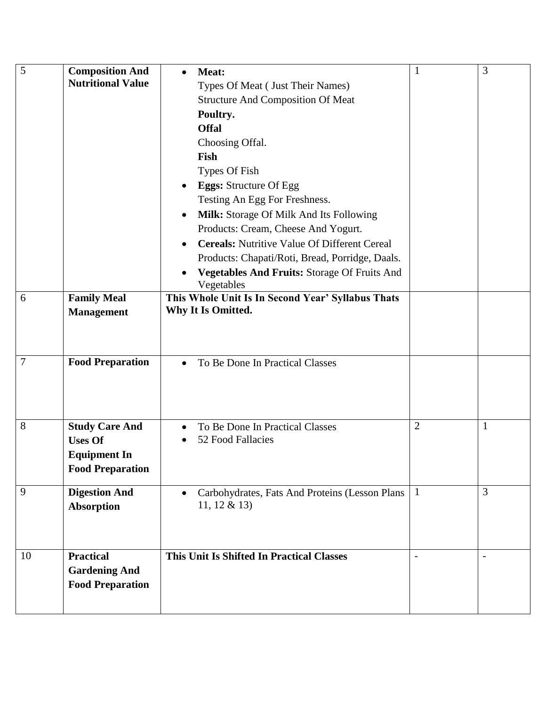| 5               | <b>Composition And</b><br><b>Nutritional Value</b>                                        | Meat:<br>$\bullet$<br>Types Of Meat (Just Their Names)<br><b>Structure And Composition Of Meat</b><br>Poultry.<br><b>Offal</b><br>Choosing Offal.<br>Fish<br>Types Of Fish<br><b>Eggs:</b> Structure Of Egg<br>٠<br>Testing An Egg For Freshness.<br>Milk: Storage Of Milk And Its Following<br>٠<br>Products: Cream, Cheese And Yogurt.<br><b>Cereals:</b> Nutritive Value Of Different Cereal<br>$\bullet$<br>Products: Chapati/Roti, Bread, Porridge, Daals.<br>Vegetables And Fruits: Storage Of Fruits And<br>Vegetables | $\mathbf{1}$             | 3                        |
|-----------------|-------------------------------------------------------------------------------------------|-------------------------------------------------------------------------------------------------------------------------------------------------------------------------------------------------------------------------------------------------------------------------------------------------------------------------------------------------------------------------------------------------------------------------------------------------------------------------------------------------------------------------------|--------------------------|--------------------------|
| 6               | <b>Family Meal</b><br><b>Management</b>                                                   | This Whole Unit Is In Second Year' Syllabus Thats<br>Why It Is Omitted.                                                                                                                                                                                                                                                                                                                                                                                                                                                       |                          |                          |
| $7\phantom{.0}$ | <b>Food Preparation</b>                                                                   | To Be Done In Practical Classes<br>$\bullet$                                                                                                                                                                                                                                                                                                                                                                                                                                                                                  |                          |                          |
| 8               | <b>Study Care And</b><br><b>Uses Of</b><br><b>Equipment In</b><br><b>Food Preparation</b> | To Be Done In Practical Classes<br>$\bullet$<br>52 Food Fallacies<br>$\bullet$                                                                                                                                                                                                                                                                                                                                                                                                                                                | $\overline{2}$           | $\mathbf{1}$             |
| 9               | <b>Digestion And</b><br><b>Absorption</b>                                                 | Carbohydrates, Fats And Proteins (Lesson Plans<br>٠<br>11, 12 & 13)                                                                                                                                                                                                                                                                                                                                                                                                                                                           | $\mathbf{1}$             | $\overline{3}$           |
| 10              | <b>Practical</b><br><b>Gardening And</b><br><b>Food Preparation</b>                       | This Unit Is Shifted In Practical Classes                                                                                                                                                                                                                                                                                                                                                                                                                                                                                     | $\overline{\phantom{0}}$ | $\overline{\phantom{0}}$ |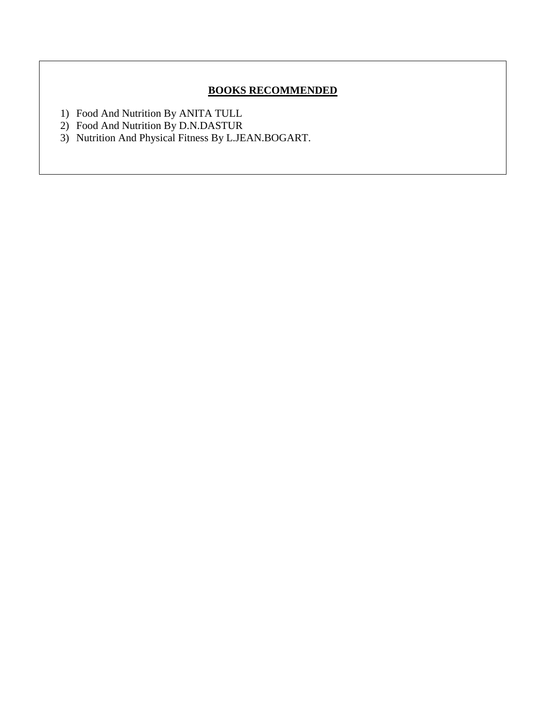# **BOOKS RECOMMENDED**

- 1) Food And Nutrition By ANITA TULL
- 2) Food And Nutrition By D.N.DASTUR
- 3) Nutrition And Physical Fitness By L.JEAN.BOGART.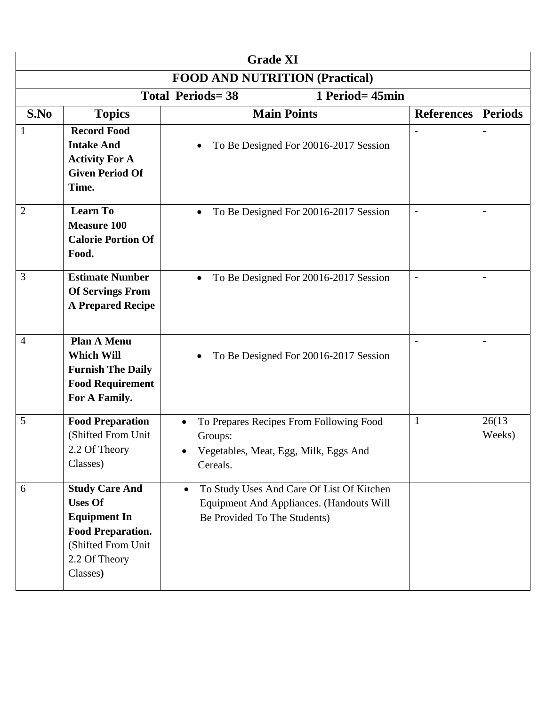| <b>Grade XI</b>                            |                                                                                                                                               |                                           |                                                                                       |                          |                          |
|--------------------------------------------|-----------------------------------------------------------------------------------------------------------------------------------------------|-------------------------------------------|---------------------------------------------------------------------------------------|--------------------------|--------------------------|
| <b>FOOD AND NUTRITION (Practical)</b>      |                                                                                                                                               |                                           |                                                                                       |                          |                          |
| <b>Total Periods=38</b><br>1 Period= 45min |                                                                                                                                               |                                           |                                                                                       |                          |                          |
| S.No                                       | <b>Topics</b>                                                                                                                                 |                                           | <b>Main Points</b>                                                                    | <b>References</b>        | <b>Periods</b>           |
| -1                                         | <b>Record Food</b><br><b>Intake And</b><br><b>Activity For A</b><br><b>Given Period Of</b><br>Time.                                           |                                           | To Be Designed For 20016-2017 Session                                                 |                          |                          |
| $\overline{2}$                             | <b>Learn To</b><br><b>Measure 100</b><br><b>Calorie Portion Of</b><br>Food.                                                                   | $\bullet$                                 | To Be Designed For 20016-2017 Session                                                 | $\overline{\phantom{a}}$ | $\overline{\phantom{a}}$ |
| 3                                          | <b>Estimate Number</b><br><b>Of Servings From</b><br><b>A Prepared Recipe</b>                                                                 | $\bullet$                                 | To Be Designed For 20016-2017 Session                                                 |                          |                          |
| $\overline{4}$                             | <b>Plan A Menu</b><br><b>Which Will</b><br><b>Furnish The Daily</b><br><b>Food Requirement</b><br>For A Family.                               |                                           | To Be Designed For 20016-2017 Session                                                 |                          |                          |
| 5                                          | <b>Food Preparation</b><br>(Shifted From Unit<br>2.2 Of Theory<br>Classes)                                                                    | $\bullet$<br>Groups:<br>Cereals.          | To Prepares Recipes From Following Food<br>Vegetables, Meat, Egg, Milk, Eggs And      | $\mathbf{1}$             | 26(13)<br>Weeks)         |
| 6                                          | <b>Study Care And</b><br><b>Uses Of</b><br><b>Equipment In</b><br><b>Food Preparation.</b><br>(Shifted From Unit<br>2.2 Of Theory<br>Classes) | $\bullet$<br>Be Provided To The Students) | To Study Uses And Care Of List Of Kitchen<br>Equipment And Appliances. (Handouts Will |                          |                          |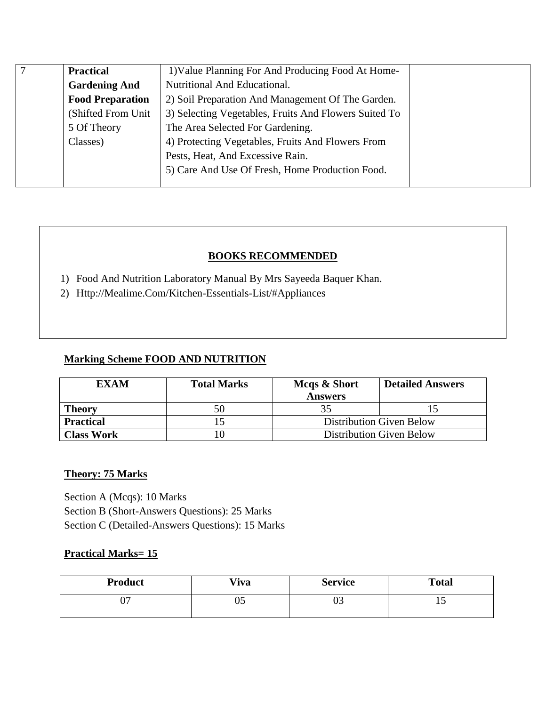| $\mathcal{I}$ | <b>Practical</b>        | 1) Value Planning For And Producing Food At Home-     |  |
|---------------|-------------------------|-------------------------------------------------------|--|
|               | <b>Gardening And</b>    | Nutritional And Educational.                          |  |
|               | <b>Food Preparation</b> | 2) Soil Preparation And Management Of The Garden.     |  |
|               | (Shifted From Unit)     | 3) Selecting Vegetables, Fruits And Flowers Suited To |  |
|               | 5 Of Theory             | The Area Selected For Gardening.                      |  |
|               | Classes)                | 4) Protecting Vegetables, Fruits And Flowers From     |  |
|               |                         | Pests, Heat, And Excessive Rain.                      |  |
|               |                         | 5) Care And Use Of Fresh, Home Production Food.       |  |
|               |                         |                                                       |  |

# **BOOKS RECOMMENDED**

- 1) Food And Nutrition Laboratory Manual By Mrs Sayeeda Baquer Khan.
- 2) Http://Mealime.Com/Kitchen-Essentials-List/#Appliances

### **Marking Scheme FOOD AND NUTRITION**

| <b>EXAM</b>       | <b>Total Marks</b> | Mcqs & Short<br><b>Answers</b>  | <b>Detailed Answers</b>         |
|-------------------|--------------------|---------------------------------|---------------------------------|
| <b>Theory</b>     | 50                 | 35                              |                                 |
| <b>Practical</b>  |                    |                                 | <b>Distribution Given Below</b> |
| <b>Class Work</b> |                    | <b>Distribution Given Below</b> |                                 |

# **Theory: 75 Marks**

Section A (Mcqs): 10 Marks Section B (Short-Answers Questions): 25 Marks Section C (Detailed-Answers Questions): 15 Marks

### **Practical Marks= 15**

| <b>Product</b> | <b>Viva</b> | <b>Service</b> | <b>Total</b> |
|----------------|-------------|----------------|--------------|
| ∩−<br>v,       | UJ          | ∩ ∩<br>υJ      |              |